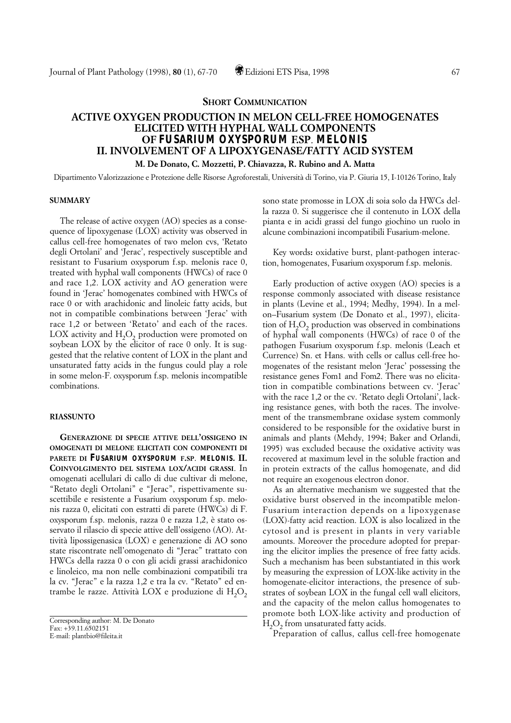# **SHORT COMMUNICATION**

# **ACTIVE OXYGEN PRODUCTION IN MELON CELL-FREE HOMOGENATES ELICITED WITH HYPHAL WALL COMPONENTS OF** *FUSARIUM OXYSPORUM* **F.SP**. *MELONIS* **II. INVOLVEMENT OF A LIPOXYGENASE/FATTY ACID SYSTEM**

### **M. De Donato, C. Mozzetti, P. Chiavazza, R. Rubino and A. Matta**

Dipartimento Valorizzazione e Protezione delle Risorse Agroforestali, Università di Torino, via P. Giuria 15, I-10126 Torino, Italy

#### **SUMMARY**

The release of active oxygen (AO) species as a consequence of lipoxygenase (LOX) activity was observed in callus cell-free homogenates of two melon cvs, 'Retato degli Ortolani' and 'Jerac', respectively susceptible and resistant to Fusarium oxysporum f.sp. melonis race 0, treated with hyphal wall components (HWCs) of race 0 and race 1,2. LOX activity and AO generation were found in 'Jerac' homogenates combined with HWCs of race 0 or with arachidonic and linoleic fatty acids, but not in compatible combinations between 'Jerac' with race 1,2 or between 'Retato' and each of the races. LOX activity and  $H_2O_2$  production were promoted on soybean LOX by the elicitor of race 0 only. It is suggested that the relative content of LOX in the plant and unsaturated fatty acids in the fungus could play a role in some melon-F. oxysporum f.sp. melonis incompatible combinations.

### **RIASSUNTO**

**GENERAZIONE DI SPECIE ATTIVE DELL'OSSIGENO IN OMOGENATI DI MELONE ELICITATI CON COMPONENTI DI PARETE DI** *FUSARIUM OXYSPORUM* **F.SP**. *MELONIS***. II. COINVOLGIMENTO DEL SISTEMA LOX/ACIDI GRASSI**. In omogenati acellulari di callo di due cultivar di melone, "Retato degli Ortolani" e "Jerac", rispettivamente suscettibile e resistente a Fusarium oxysporum f.sp. melonis razza 0, elicitati con estratti di parete (HWCs) di F. oxysporum f.sp. melonis, razza 0 e razza 1,2, è stato osservato il rilascio di specie attive dell'ossigeno (AO). Attività lipossigenasica (LOX) e generazione di AO sono state riscontrate nell'omogenato di "Jerac" trattato con HWCs della razza 0 o con gli acidi grassi arachidonico e linoleico, ma non nelle combinazioni compatibili tra la cv. "Jerac" e la razza 1,2 e tra la cv. "Retato" ed entrambe le razze. Attività LOX e produzione di  $H_2O_2$  sono state promosse in LOX di soia solo da HWCs della razza 0. Si suggerisce che il contenuto in LOX della pianta e in acidi grassi del fungo giochino un ruolo in alcune combinazioni incompatibili Fusarium-melone.

Key words**:** oxidative burst, plant-pathogen interaction, homogenates, Fusarium oxysporum f.sp. melonis.

Early production of active oxygen (AO) species is a response commonly associated with disease resistance in plants (Levine et al., 1994; Medhy, 1994). In a melon–Fusarium system (De Donato et al., 1997), elicitation of  $H_2O_2$  production was observed in combinations of hyphal wall components (HWCs) of race 0 of the pathogen Fusarium oxysporum f.sp. melonis (Leach et Currence) Sn. et Hans. with cells or callus cell-free homogenates of the resistant melon 'Jerac' possessing the resistance genes Fom1 and Fom2. There was no elicitation in compatible combinations between cv. 'Jerac' with the race 1,2 or the cv. 'Retato degli Ortolani', lacking resistance genes, with both the races. The involvement of the transmembrane oxidase system commonly considered to be responsible for the oxidative burst in animals and plants (Mehdy, 1994; Baker and Orlandi, 1995) was excluded because the oxidative activity was recovered at maximum level in the soluble fraction and in protein extracts of the callus homogenate, and did not require an exogenous electron donor.

As an alternative mechanism we suggested that the oxidative burst observed in the incompatible melon-Fusarium interaction depends on a lipoxygenase (LOX)-fatty acid reaction. LOX is also localized in the cytosol and is present in plants in very variable amounts. Moreover the procedure adopted for preparing the elicitor implies the presence of free fatty acids. Such a mechanism has been substantiated in this work by measuring the expression of LOX-like activity in the homogenate-elicitor interactions, the presence of substrates of soybean LOX in the fungal cell wall elicitors, and the capacity of the melon callus homogenates to promote both LOX-like activity and production of  $H<sub>2</sub>O<sub>2</sub>$  from unsaturated fatty acids.

Preparation of callus, callus cell-free homogenate

Corresponding author: M. De Donato Fax: +39.11.6502151 E-mail: plantbio@fileita.it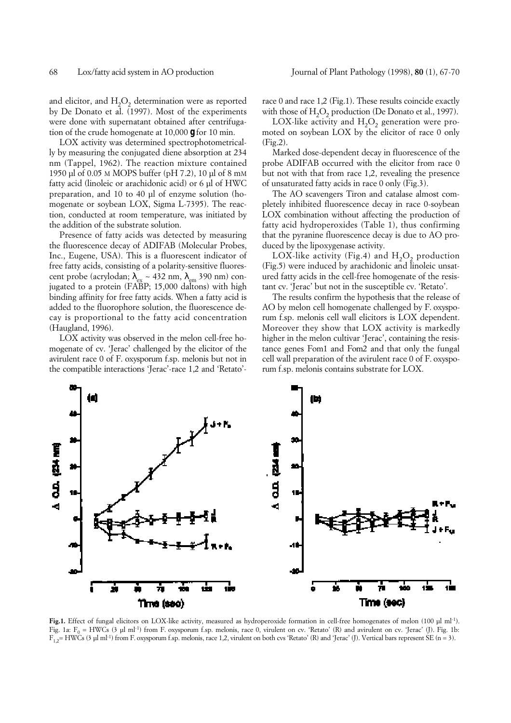and elicitor, and  $H_2O_2$  determination were as reported by De Donato et al. (1997). Most of the experiments were done with supernatant obtained after centrifugation of the crude homogenate at 10,000 *g* for 10 min.

LOX activity was determined spectrophotometrically by measuring the conjugated diene absorption at 234 nm (Tappel, 1962). The reaction mixture contained 1950 µl of 0.05 M MOPS buffer (pH 7.2), 10 µl of 8 mM fatty acid (linoleic or arachidonic acid) or 6 µl of HWC preparation, and 10 to 40 µl of enzyme solution (homogenate or soybean LOX, Sigma L-7395). The reaction, conducted at room temperature, was initiated by the addition of the substrate solution.

Presence of fatty acids was detected by measuring the fluorescence decay of ADIFAB (Molecular Probes, Inc., Eugene, USA). This is a fluorescent indicator of free fatty acids, consisting of a polarity-sensitive fluorescent probe (acrylodan;  $\lambda_{ex} \sim 432$  nm,  $\lambda_{em}$  390 nm) conjugated to a protein (FABP; 15,000 daltons) with high binding affinity for free fatty acids. When a fatty acid is added to the fluorophore solution, the fluorescence decay is proportional to the fatty acid concentration (Haugland, 1996).

LOX activity was observed in the melon cell-free homogenate of cv. 'Jerac' challenged by the elicitor of the avirulent race 0 of F. oxysporum f.sp. melonis but not in the compatible interactions 'Jerac'-race 1,2 and 'Retato'- race 0 and race 1,2 (Fig.1). These results coincide exactly with those of H<sub>2</sub>O<sub>2</sub> production (De Donato et al., 1997).

LOX-like activity and  $H_2O_2$  generation were promoted on soybean LOX by the elicitor of race 0 only (Fig.2).

Marked dose-dependent decay in fluorescence of the probe ADIFAB occurred with the elicitor from race 0 but not with that from race 1,2, revealing the presence of unsaturated fatty acids in race 0 only (Fig.3).

The AO scavengers Tiron and catalase almost completely inhibited fluorescence decay in race 0-soybean LOX combination without affecting the production of fatty acid hydroperoxides (Table 1), thus confirming that the pyranine fluorescence decay is due to AO produced by the lipoxygenase activity.

LOX-like activity (Fig.4) and  $H_2O_2$  production (Fig.5) were induced by arachidonic and linoleic unsatured fatty acids in the cell-free homogenate of the resistant cv. 'Jerac' but not in the susceptible cv. 'Retato'.

The results confirm the hypothesis that the release of AO by melon cell homogenate challenged by F. oxysporum f.sp. melonis cell wall elicitors is LOX dependent. Moreover they show that LOX activity is markedly higher in the melon cultivar 'Jerac', containing the resistance genes Fom1 and Fom2 and that only the fungal cell wall preparation of the avirulent race 0 of F. oxysporum f.sp. melonis contains substrate for LOX.



**Fig.1.** Effect of fungal elicitors on LOX-like activity, measured as hydroperoxide formation in cell-free homogenates of melon (100 µl ml-1). Fig. 1a:  $F_0 = HWCs$  (3 µl ml<sup>-1</sup>) from F. oxysporum f.sp. melonis, race 0, virulent on cv. 'Retato' (R) and avirulent on cv. 'Jerac' (J). Fig. 1b:  $F_{1,2}$  HWCs (3 µl ml<sup>-1</sup>) from F. oxysporum f.sp. melonis, race 1,2, virulent on both cvs 'Retato' (R) and 'Jerac' (J). Vertical bars represent SE (n = 3).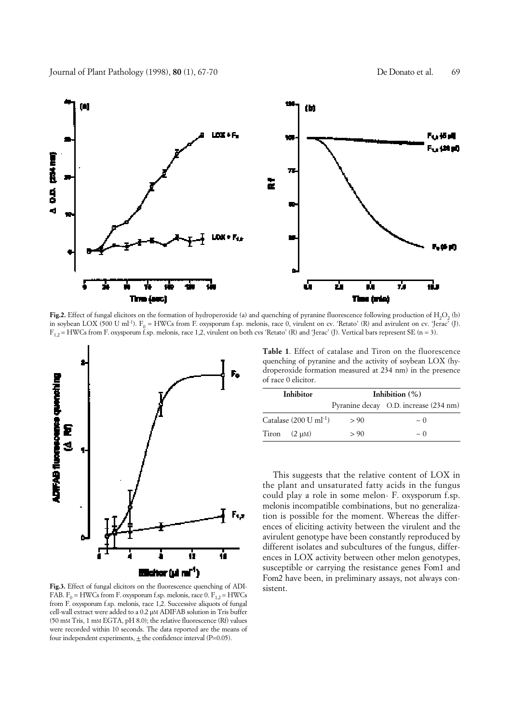

**Fig.2.** Effect of fungal elicitors on the formation of hydroperoxide (a) and quenching of pyranine fluorescence following production of H<sub>2</sub>O<sub>2</sub> (b) in soybean LOX (500 U ml<sup>-1</sup>).  $F_0 = HWCs$  from F. oxysporum f.sp. melonis, race 0, virulent on cv. 'Retato' (R) and avirulent on cv. 'Jerac' (J).  $F_{1,2}$  = HWCs from F. oxysporum f.sp. melonis, race 1,2, virulent on both cvs 'Retato' (R) and 'Jerac' (J). Vertical bars represent SE (n = 3).



**Fig.3.** Effect of fungal elicitors on the fluorescence quenching of ADI-FAB.  $F_0$  = HWCs from F. oxysporum f.sp. melonis, race 0.  $F_{1,2}$  = HWCs from F. oxysporum f.sp. melonis, race 1,2. Successive aliquots of fungal cell-wall extract were added to a 0.2 µM ADIFAB solution in Tris buffer (50 mM Tris, 1 mM EGTA, pH 8.0); the relative fluorescence (Rf) values were recorded within 10 seconds. The data reported are the means of four independent experiments,  $\pm$  the confidence interval (P=0.05).

**Table 1**. Effect of catalase and Tiron on the fluorescence quenching of pyranine and the activity of soybean LOX (hydroperoxide formation measured at 234 nm) in the presence of race 0 elicitor.

| Inhibitor                          | Inhibition $(\%)$ |                                       |
|------------------------------------|-------------------|---------------------------------------|
|                                    |                   | Pyranine decay O.D. increase (234 nm) |
| Catalase (200 U ml <sup>-1</sup> ) | > 90              | $\sim$ 0                              |
| Tiron $(2 \mu M)$                  | > 90              | $\sim$ 0                              |

This suggests that the relative content of LOX in the plant and unsaturated fatty acids in the fungus could play a role in some melon- F. oxysporum f.sp. melonis incompatible combinations, but no generalization is possible for the moment. Whereas the differences of eliciting activity between the virulent and the avirulent genotype have been constantly reproduced by different isolates and subcultures of the fungus, differences in LOX activity between other melon genotypes, susceptible or carrying the resistance genes Fom1 and Fom2 have been, in preliminary assays, not always consistent.